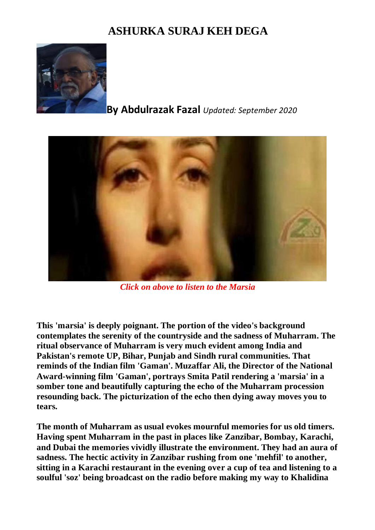## **ASHURKA SURAJ KEH DEGA**



## **By Abdulrazak Fazal** *Updated: September 2020*



*Click on above to listen to the Marsia*

**This 'marsia' is deeply poignant. The portion of the video's background contemplates the serenity of the countryside and the sadness of Muharram. The ritual observance of Muharram is very much evident among India and Pakistan's remote UP, Bihar, Punjab and Sindh rural communities. That reminds of the Indian film 'Gaman'. Muzaffar Ali, the Director of the National Award-winning film 'Gaman', portrays Smita Patil rendering a 'marsia' in a somber tone and beautifully capturing the echo of the Muharram procession resounding back. The picturization of the echo then dying away moves you to tears.**

**The month of Muharram as usual evokes mournful memories for us old timers. Having spent Muharram in the past in places like Zanzibar, Bombay, Karachi, and Dubai the memories vividly illustrate the environment. They had an aura of sadness. The hectic activity in Zanzibar rushing from one 'mehfil' to another, sitting in a Karachi restaurant in the evening over a cup of tea and listening to a soulful 'soz' being broadcast on the radio before making my way to Khalidina**